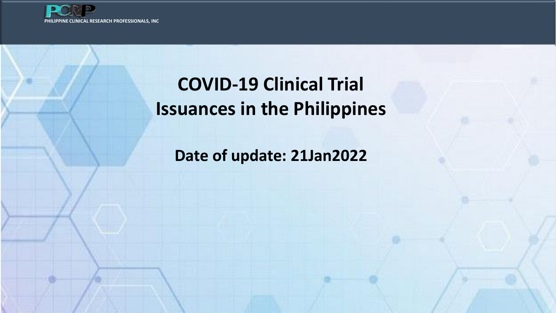

## **COVID-19 Clinical Trial Issuances in the Philippines**

**Date of update: 21Jan2022**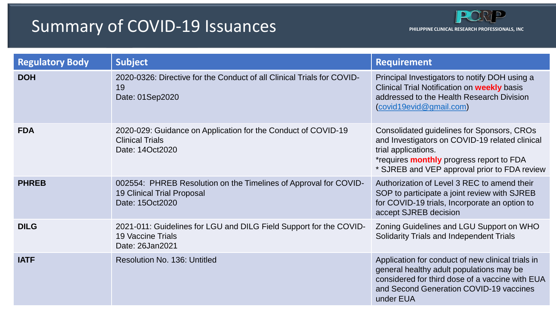## Summary of COVID-19 Issuances

| <b>Regulatory Body</b> | <b>Subject</b>                                                                                                           | <b>Requirement</b>                                                                                                                                                                                                     |
|------------------------|--------------------------------------------------------------------------------------------------------------------------|------------------------------------------------------------------------------------------------------------------------------------------------------------------------------------------------------------------------|
| <b>DOH</b>             | 2020-0326: Directive for the Conduct of all Clinical Trials for COVID-<br>19<br>Date: 01Sep2020                          | Principal Investigators to notify DOH using a<br>Clinical Trial Notification on <b>weekly</b> basis<br>addressed to the Health Research Division<br>(covid19evid@gmail.com)                                            |
| <b>FDA</b>             | 2020-029: Guidance on Application for the Conduct of COVID-19<br><b>Clinical Trials</b><br>Date: 14Oct2020               | Consolidated guidelines for Sponsors, CROs<br>and Investigators on COVID-19 related clinical<br>trial applications.<br>*requires <b>monthly</b> progress report to FDA<br>* SJREB and VEP approval prior to FDA review |
| <b>PHREB</b>           | 002554: PHREB Resolution on the Timelines of Approval for COVID-<br><b>19 Clinical Trial Proposal</b><br>Date: 15Oct2020 | Authorization of Level 3 REC to amend their<br>SOP to participate a joint review with SJREB<br>for COVID-19 trials, Incorporate an option to<br>accept SJREB decision                                                  |
| <b>DILG</b>            | 2021-011: Guidelines for LGU and DILG Field Support for the COVID-<br><b>19 Vaccine Trials</b><br>Date: 26Jan2021        | Zoning Guidelines and LGU Support on WHO<br><b>Solidarity Trials and Independent Trials</b>                                                                                                                            |
| <b>IATF</b>            | <b>Resolution No. 136: Untitled</b>                                                                                      | Application for conduct of new clinical trials in<br>general healthy adult populations may be<br>considered for third dose of a vaccine with EUA<br>and Second Generation COVID-19 vaccines<br>under EUA               |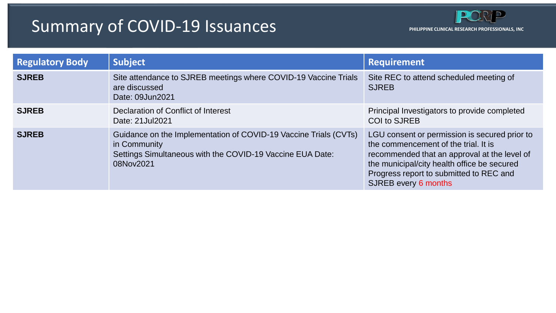## Summary of COVID-19 Issuances

| <b>Regulatory Body</b> | <b>Subject</b>                                                                                                                                             | <b>Requirement</b>                                                                                                                                                                                                                                             |
|------------------------|------------------------------------------------------------------------------------------------------------------------------------------------------------|----------------------------------------------------------------------------------------------------------------------------------------------------------------------------------------------------------------------------------------------------------------|
| <b>SJREB</b>           | Site attendance to SJREB meetings where COVID-19 Vaccine Trials<br>are discussed<br>Date: 09Jun2021                                                        | Site REC to attend scheduled meeting of<br><b>SJREB</b>                                                                                                                                                                                                        |
| <b>SJREB</b>           | Declaration of Conflict of Interest<br>Date: 21 Jul 2021                                                                                                   | Principal Investigators to provide completed<br><b>COI to SJREB</b>                                                                                                                                                                                            |
| <b>SJREB</b>           | Guidance on the Implementation of COVID-19 Vaccine Trials (CVTs)<br>in Community<br>Settings Simultaneous with the COVID-19 Vaccine EUA Date:<br>08Nov2021 | LGU consent or permission is secured prior to<br>the commencement of the trial. It is<br>recommended that an approval at the level of<br>the municipal/city health office be secured<br>Progress report to submitted to REC and<br><b>SJREB every 6 months</b> |